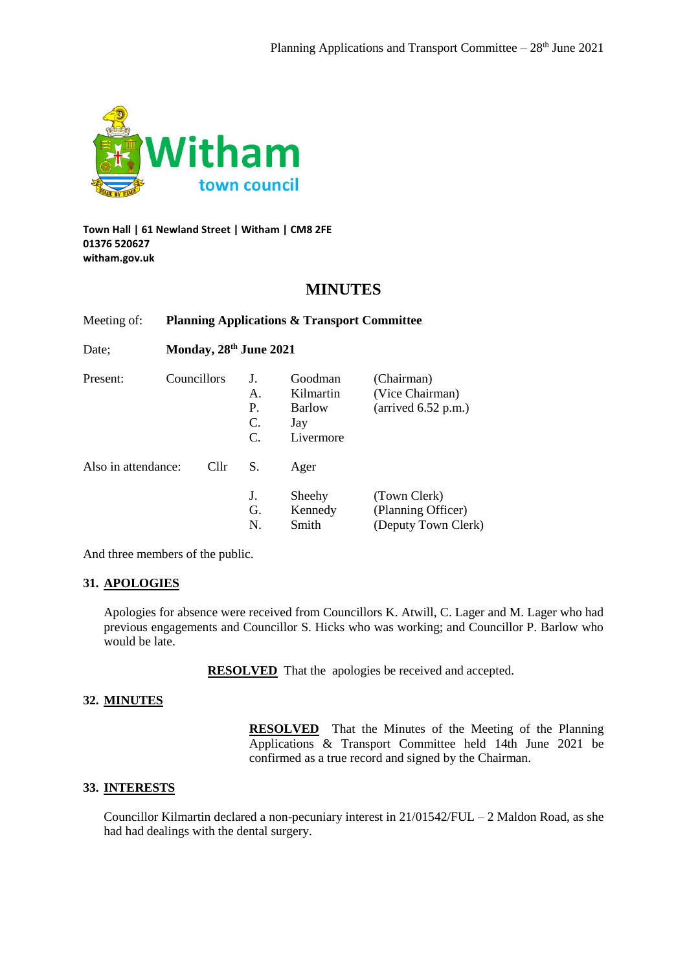

## **Town Hall | 61 Newland Street | Witham | CM8 2FE 01376 520627 witham.gov.uk**

## **MINUTES**

| Date:               | Monday, 28 <sup>th</sup> June 2021 |      |                                        |                                                    |                                                                        |
|---------------------|------------------------------------|------|----------------------------------------|----------------------------------------------------|------------------------------------------------------------------------|
| Present:            | <b>Councillors</b>                 |      | J.<br>$\mathsf{A}$ .<br>P.<br>C.<br>C. | Goodman<br>Kilmartin<br>Barlow<br>Jay<br>Livermore | (Chairman)<br>(Vice Chairman)<br>$(\text{arrived } 6.52 \text{ p.m.})$ |
| Also in attendance: |                                    | Cllr | S.                                     | Ager                                               |                                                                        |
|                     |                                    |      | J.<br>G.<br>N.                         | Sheehy<br>Kennedy<br>Smith                         | (Town Clerk)<br>(Planning Officer)<br>(Deputy Town Clerk)              |

Meeting of: **Planning Applications & Transport Committee**

And three members of the public.

## **31. APOLOGIES**

Apologies for absence were received from Councillors K. Atwill, C. Lager and M. Lager who had previous engagements and Councillor S. Hicks who was working; and Councillor P. Barlow who would be late.

**RESOLVED** That the apologies be received and accepted.

## **32. MINUTES**

**RESOLVED** That the Minutes of the Meeting of the Planning Applications & Transport Committee held 14th June 2021 be confirmed as a true record and signed by the Chairman.

## **33. INTERESTS**

Councillor Kilmartin declared a non-pecuniary interest in 21/01542/FUL – 2 Maldon Road, as she had had dealings with the dental surgery.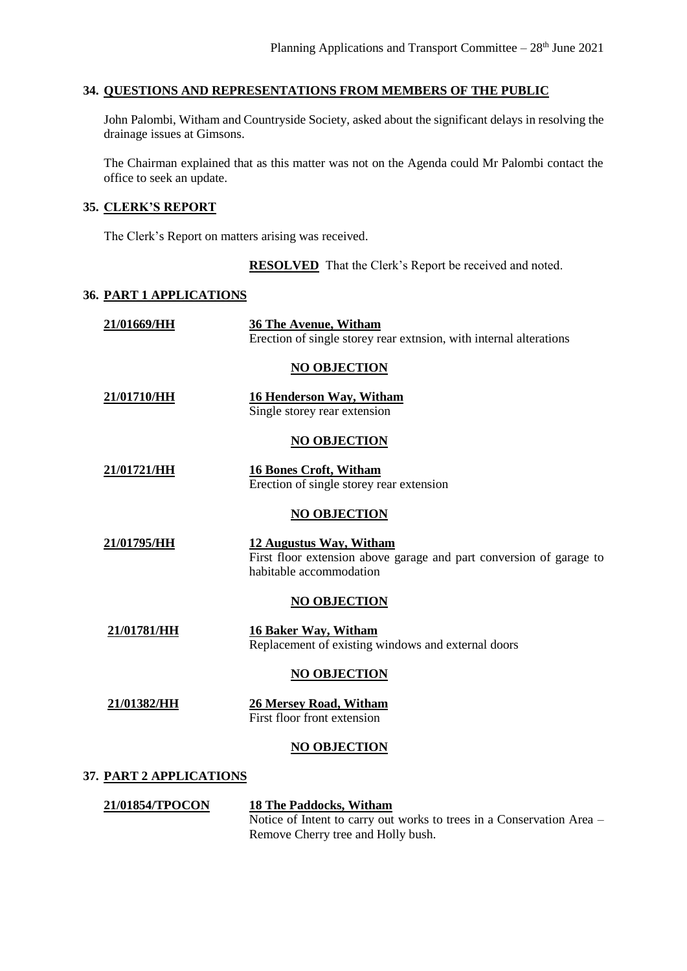## **34. QUESTIONS AND REPRESENTATIONS FROM MEMBERS OF THE PUBLIC**

John Palombi, Witham and Countryside Society, asked about the significant delays in resolving the drainage issues at Gimsons.

The Chairman explained that as this matter was not on the Agenda could Mr Palombi contact the office to seek an update.

## **35. CLERK'S REPORT**

The Clerk's Report on matters arising was received.

**RESOLVED** That the Clerk's Report be received and noted.

## **36. PART 1 APPLICATIONS**

| 21/01669/HH                    | <b>36 The Avenue, Witham</b><br>Erection of single storey rear extnsion, with internal alterations                        |
|--------------------------------|---------------------------------------------------------------------------------------------------------------------------|
|                                | <b>NO OBJECTION</b>                                                                                                       |
| 21/01710/HH                    | <b>16 Henderson Way, Witham</b><br>Single storey rear extension                                                           |
|                                | <b>NO OBJECTION</b>                                                                                                       |
| 21/01721/HH                    | <b>16 Bones Croft, Witham</b><br>Erection of single storey rear extension                                                 |
|                                | <b>NO OBJECTION</b>                                                                                                       |
| 21/01795/HH                    | 12 Augustus Way, Witham<br>First floor extension above garage and part conversion of garage to<br>habitable accommodation |
|                                | <b>NO OBJECTION</b>                                                                                                       |
| 21/01781/HH                    | <b>16 Baker Way, Witham</b><br>Replacement of existing windows and external doors                                         |
|                                | <b>NO OBJECTION</b>                                                                                                       |
| 21/01382/HH                    | <b>26 Mersey Road, Witham</b><br>First floor front extension                                                              |
|                                | <b>NO OBJECTION</b>                                                                                                       |
| <b>37. PART 2 APPLICATIONS</b> |                                                                                                                           |

## **21/01854/TPOCON 18 The Paddocks, Witham** Notice of Intent to carry out works to trees in a Conservation Area – Remove Cherry tree and Holly bush.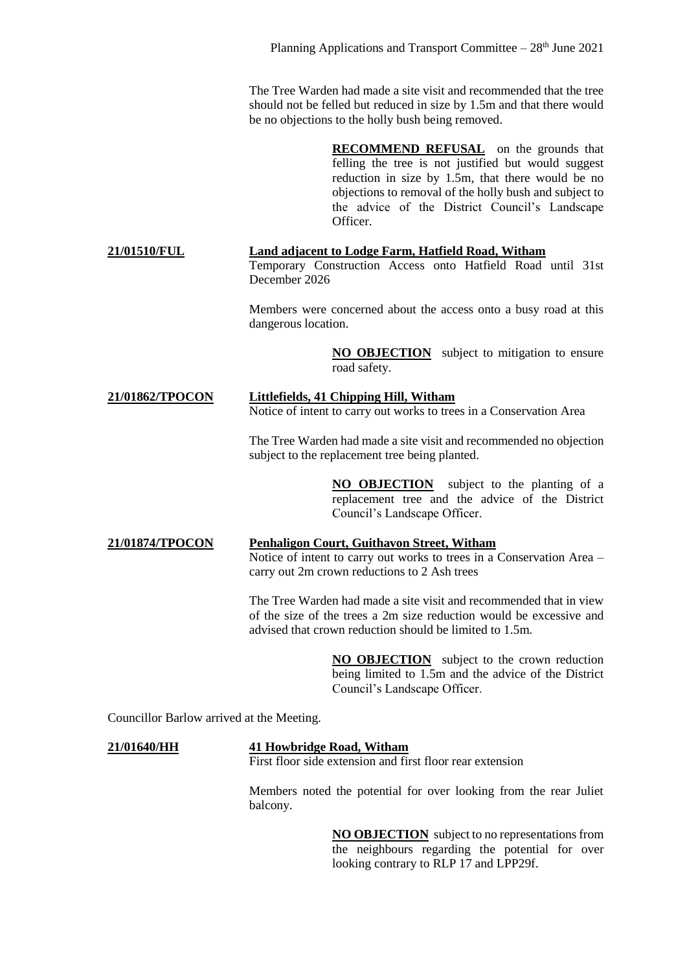The Tree Warden had made a site visit and recommended that the tree should not be felled but reduced in size by 1.5m and that there would be no objections to the holly bush being removed.

> **RECOMMEND REFUSAL** on the grounds that felling the tree is not justified but would suggest reduction in size by 1.5m, that there would be no objections to removal of the holly bush and subject to the advice of the District Council's Landscape Officer.

**21/01510/FUL Land adjacent to Lodge Farm, Hatfield Road, Witham** Temporary Construction Access onto Hatfield Road until 31st December 2026

> Members were concerned about the access onto a busy road at this dangerous location.

> > **NO OBJECTION** subject to mitigation to ensure road safety.

# **21/01862/TPOCON Littlefields, 41 Chipping Hill, Witham**

Notice of intent to carry out works to trees in a Conservation Area

The Tree Warden had made a site visit and recommended no objection subject to the replacement tree being planted.

> **NO OBJECTION** subject to the planting of a replacement tree and the advice of the District Council's Landscape Officer.

## **21/01874/TPOCON Penhaligon Court, Guithavon Street, Witham** Notice of intent to carry out works to trees in a Conservation Area – carry out 2m crown reductions to 2 Ash trees

The Tree Warden had made a site visit and recommended that in view of the size of the trees a 2m size reduction would be excessive and advised that crown reduction should be limited to 1.5m.

> **NO OBJECTION** subject to the crown reduction being limited to 1.5m and the advice of the District Council's Landscape Officer.

Councillor Barlow arrived at the Meeting.

## **21/01640/HH 41 Howbridge Road, Witham**

First floor side extension and first floor rear extension

Members noted the potential for over looking from the rear Juliet balcony.

> **NO OBJECTION** subject to no representations from the neighbours regarding the potential for over looking contrary to RLP 17 and LPP29f.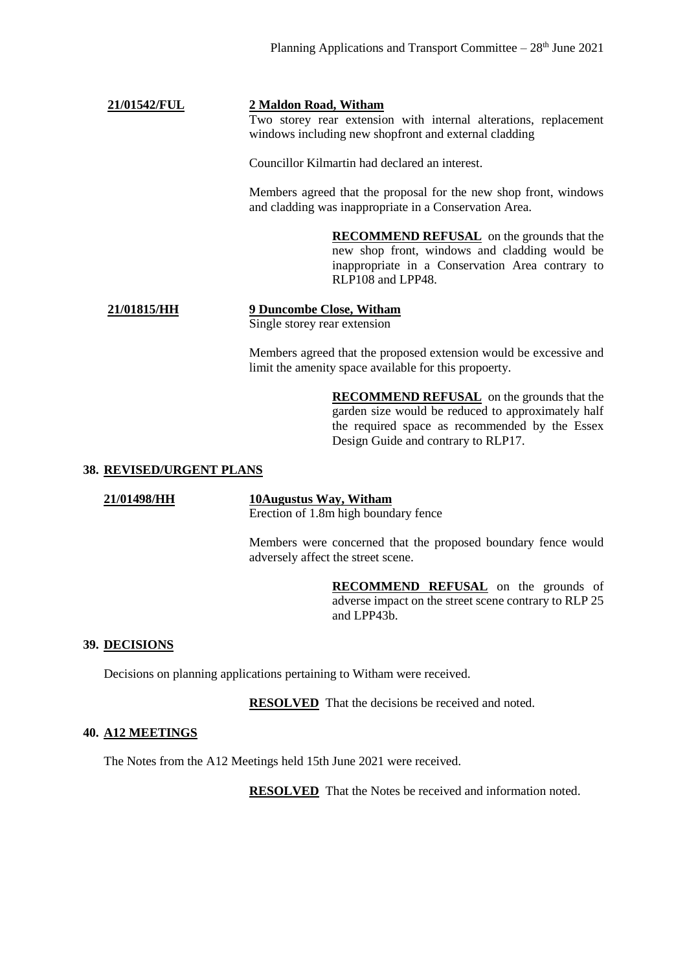## **21/01542/FUL 2 Maldon Road, Witham**

Two storey rear extension with internal alterations, replacement windows including new shopfront and external cladding

Councillor Kilmartin had declared an interest.

Members agreed that the proposal for the new shop front, windows and cladding was inappropriate in a Conservation Area.

> **RECOMMEND REFUSAL** on the grounds that the new shop front, windows and cladding would be inappropriate in a Conservation Area contrary to RLP108 and LPP48.

## **21/01815/HH 9 Duncombe Close, Witham** Single storey rear extension

Members agreed that the proposed extension would be excessive and limit the amenity space available for this propoerty.

> **RECOMMEND REFUSAL** on the grounds that the garden size would be reduced to approximately half the required space as recommended by the Essex Design Guide and contrary to RLP17.

## **38. REVISED/URGENT PLANS**

**21/01498/HH 10Augustus Way, Witham** Erection of 1.8m high boundary fence

> Members were concerned that the proposed boundary fence would adversely affect the street scene.

> > **RECOMMEND REFUSAL** on the grounds of adverse impact on the street scene contrary to RLP 25 and LPP43b.

## **39. DECISIONS**

Decisions on planning applications pertaining to Witham were received.

**RESOLVED** That the decisions be received and noted.

## **40. A12 MEETINGS**

The Notes from the A12 Meetings held 15th June 2021 were received.

**RESOLVED** That the Notes be received and information noted.